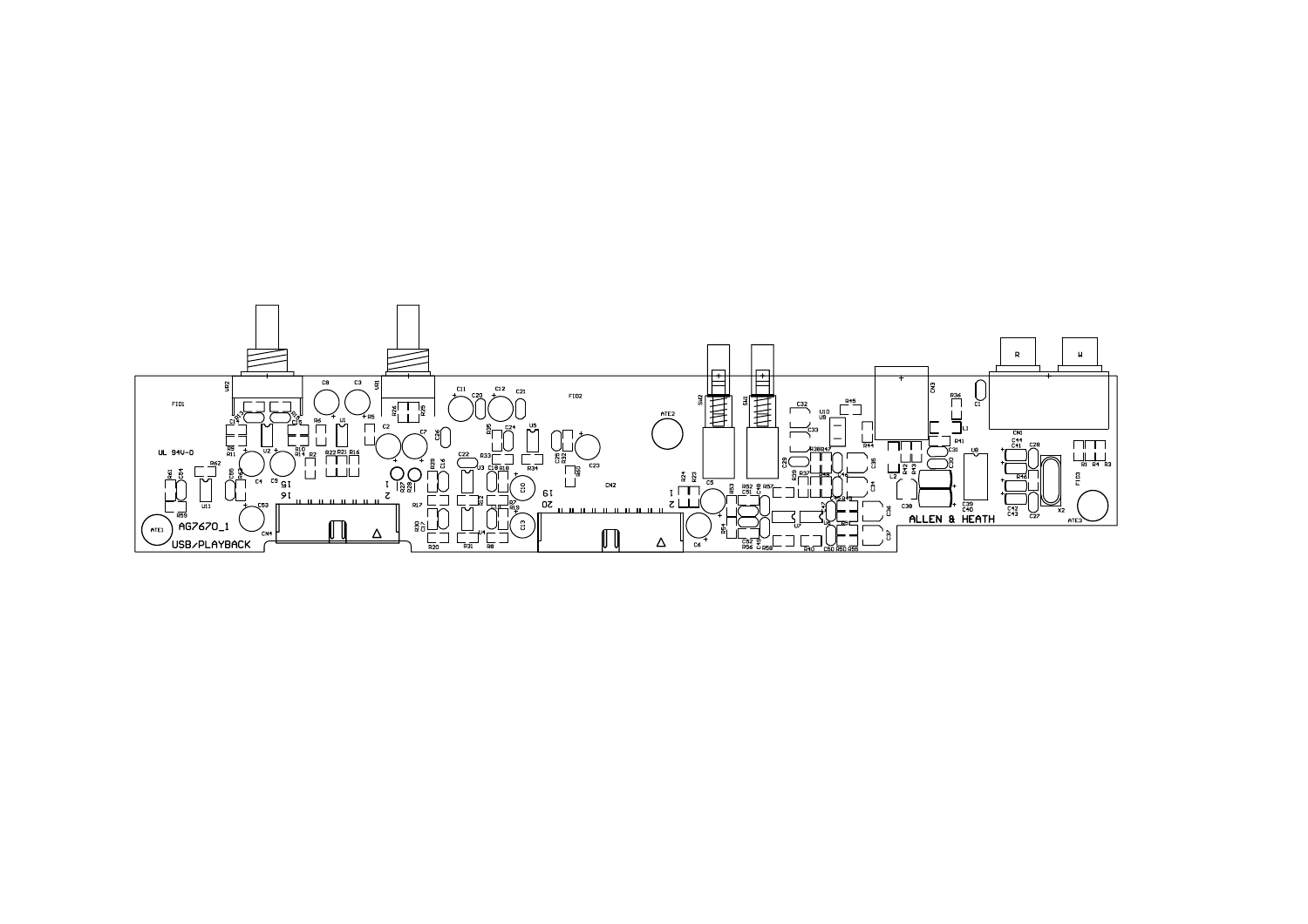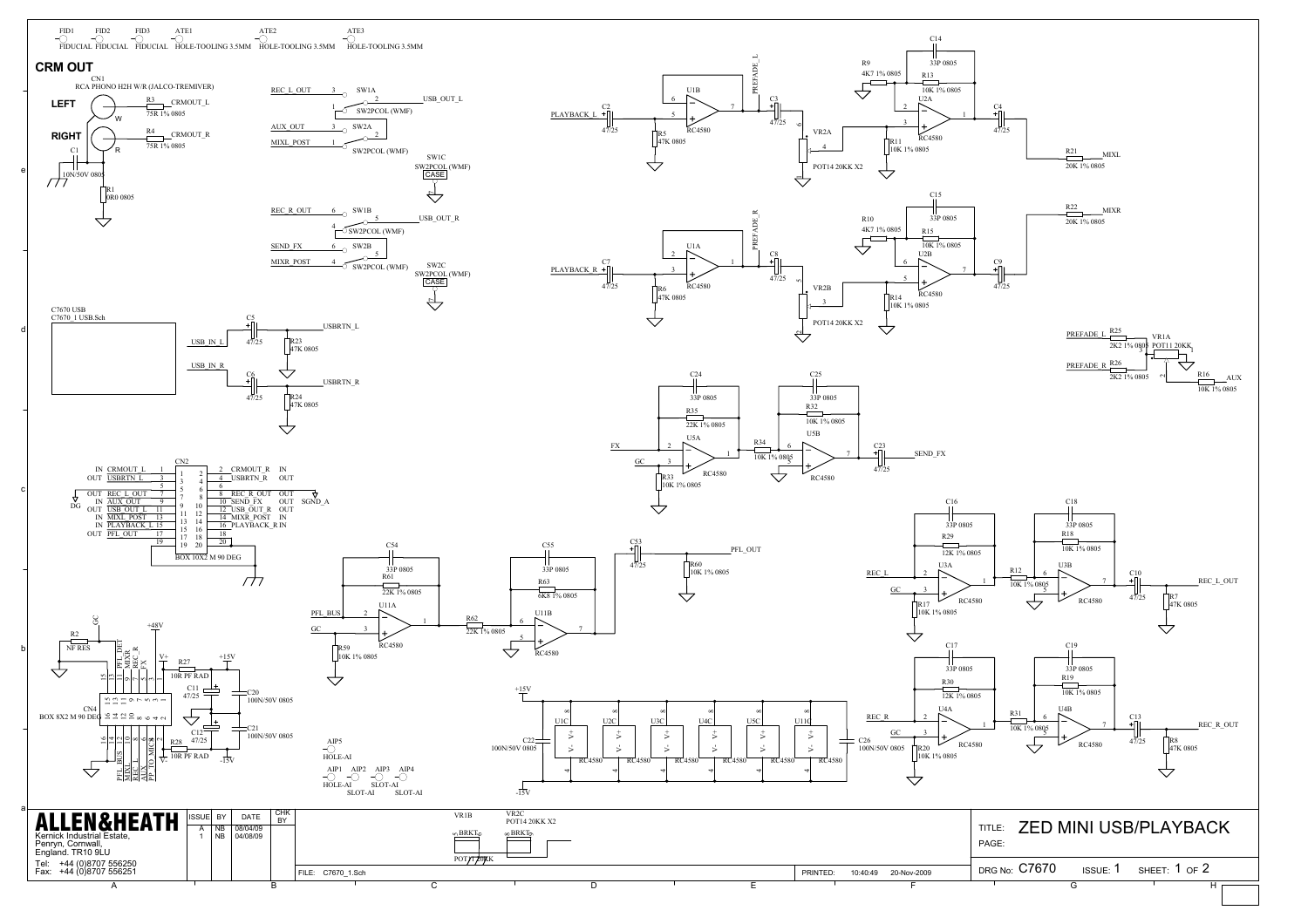